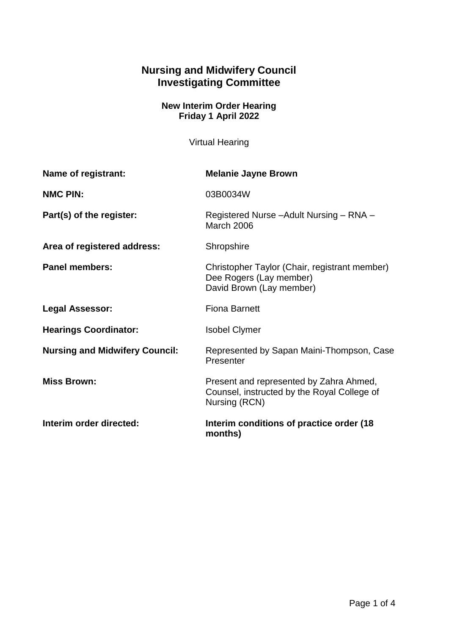# **Nursing and Midwifery Council Investigating Committee**

# **New Interim Order Hearing Friday 1 April 2022**

Virtual Hearing

| Name of registrant:                   | <b>Melanie Jayne Brown</b>                                                                              |
|---------------------------------------|---------------------------------------------------------------------------------------------------------|
| <b>NMC PIN:</b>                       | 03B0034W                                                                                                |
| Part(s) of the register:              | Registered Nurse - Adult Nursing - RNA -<br><b>March 2006</b>                                           |
| Area of registered address:           | Shropshire                                                                                              |
| <b>Panel members:</b>                 | Christopher Taylor (Chair, registrant member)<br>Dee Rogers (Lay member)<br>David Brown (Lay member)    |
| <b>Legal Assessor:</b>                | <b>Fiona Barnett</b>                                                                                    |
| <b>Hearings Coordinator:</b>          | <b>Isobel Clymer</b>                                                                                    |
| <b>Nursing and Midwifery Council:</b> | Represented by Sapan Maini-Thompson, Case<br>Presenter                                                  |
| <b>Miss Brown:</b>                    | Present and represented by Zahra Ahmed,<br>Counsel, instructed by the Royal College of<br>Nursing (RCN) |
| Interim order directed:               | Interim conditions of practice order (18)<br>months)                                                    |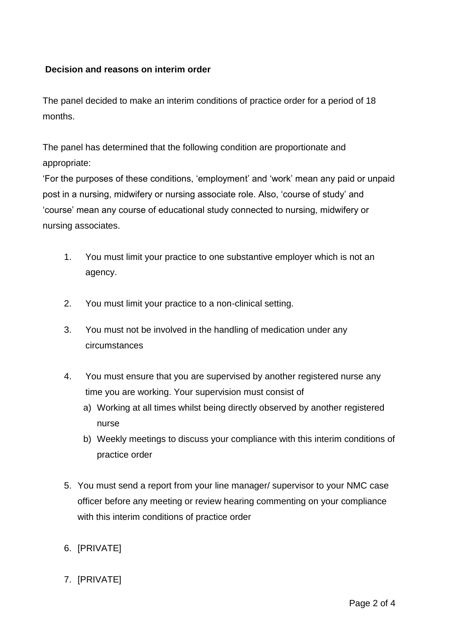### **Decision and reasons on interim order**

The panel decided to make an interim conditions of practice order for a period of 18 months.

The panel has determined that the following condition are proportionate and appropriate:

'For the purposes of these conditions, 'employment' and 'work' mean any paid or unpaid post in a nursing, midwifery or nursing associate role. Also, 'course of study' and 'course' mean any course of educational study connected to nursing, midwifery or nursing associates.

- 1. You must limit your practice to one substantive employer which is not an agency.
- 2. You must limit your practice to a non-clinical setting.
- 3. You must not be involved in the handling of medication under any circumstances
- 4. You must ensure that you are supervised by another registered nurse any time you are working. Your supervision must consist of
	- a) Working at all times whilst being directly observed by another registered nurse
	- b) Weekly meetings to discuss your compliance with this interim conditions of practice order
- 5. You must send a report from your line manager/ supervisor to your NMC case officer before any meeting or review hearing commenting on your compliance with this interim conditions of practice order
- 6. [PRIVATE]
- 7. [PRIVATE]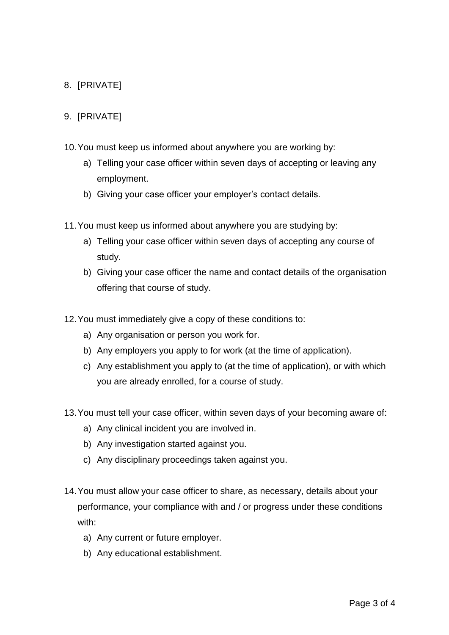# 8. [PRIVATE]

#### 9. [PRIVATE]

- 10.You must keep us informed about anywhere you are working by:
	- a) Telling your case officer within seven days of accepting or leaving any employment.
	- b) Giving your case officer your employer's contact details.
- 11.You must keep us informed about anywhere you are studying by:
	- a) Telling your case officer within seven days of accepting any course of study.
	- b) Giving your case officer the name and contact details of the organisation offering that course of study.
- 12.You must immediately give a copy of these conditions to:
	- a) Any organisation or person you work for.
	- b) Any employers you apply to for work (at the time of application).
	- c) Any establishment you apply to (at the time of application), or with which you are already enrolled, for a course of study.
- 13.You must tell your case officer, within seven days of your becoming aware of:
	- a) Any clinical incident you are involved in.
	- b) Any investigation started against you.
	- c) Any disciplinary proceedings taken against you.
- 14.You must allow your case officer to share, as necessary, details about your performance, your compliance with and / or progress under these conditions with:
	- a) Any current or future employer.
	- b) Any educational establishment.